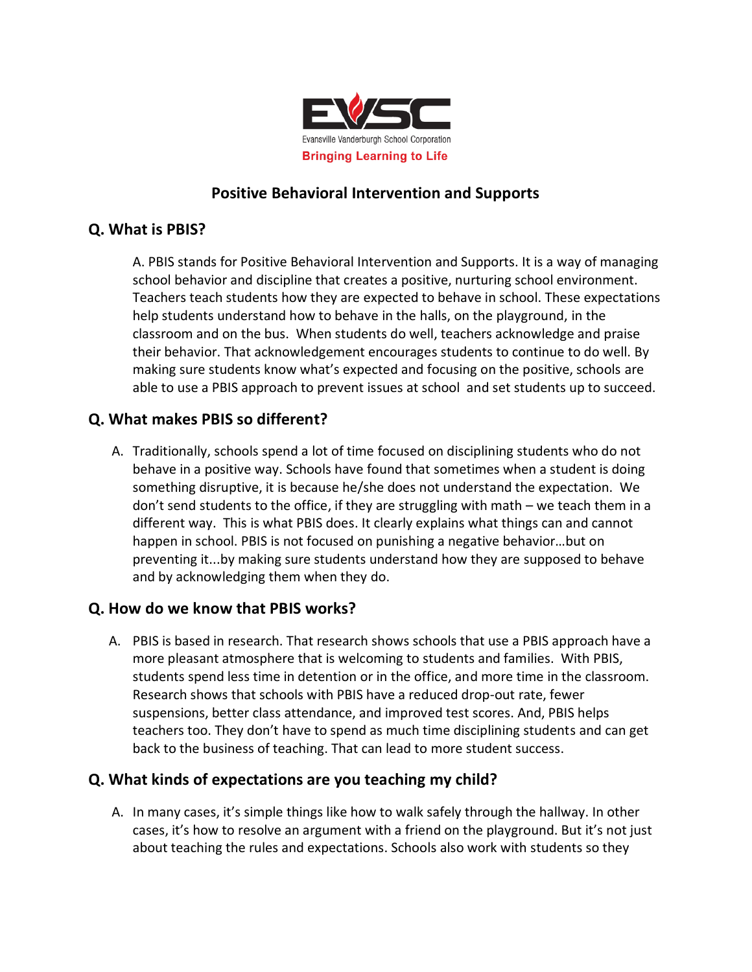

### **Positive Behavioral Intervention and Supports**

#### **Q. What is PBIS?**

A. PBIS stands for Positive Behavioral Intervention and Supports. It is a way of managing school behavior and discipline that creates a positive, nurturing school environment. Teachers teach students how they are expected to behave in school. These expectations help students understand how to behave in the halls, on the playground, in the classroom and on the bus. When students do well, teachers acknowledge and praise their behavior. That acknowledgement encourages students to continue to do well. By making sure students know what's expected and focusing on the positive, schools are able to use a PBIS approach to prevent issues at school and set students up to succeed.

#### **Q. What makes PBIS so different?**

A. Traditionally, schools spend a lot of time focused on disciplining students who do not behave in a positive way. Schools have found that sometimes when a student is doing something disruptive, it is because he/she does not understand the expectation. We don't send students to the office, if they are struggling with math – we teach them in a different way. This is what PBIS does. It clearly explains what things can and cannot happen in school. PBIS is not focused on punishing a negative behavior…but on preventing it...by making sure students understand how they are supposed to behave and by acknowledging them when they do.

#### **Q. How do we know that PBIS works?**

A. PBIS is based in research. That research shows schools that use a PBIS approach have a more pleasant atmosphere that is welcoming to students and families. With PBIS, students spend less time in detention or in the office, and more time in the classroom. Research shows that schools with PBIS have a reduced drop-out rate, fewer suspensions, better class attendance, and improved test scores. And, PBIS helps teachers too. They don't have to spend as much time disciplining students and can get back to the business of teaching. That can lead to more student success.

#### **Q. What kinds of expectations are you teaching my child?**

A. In many cases, it's simple things like how to walk safely through the hallway. In other cases, it's how to resolve an argument with a friend on the playground. But it's not just about teaching the rules and expectations. Schools also work with students so they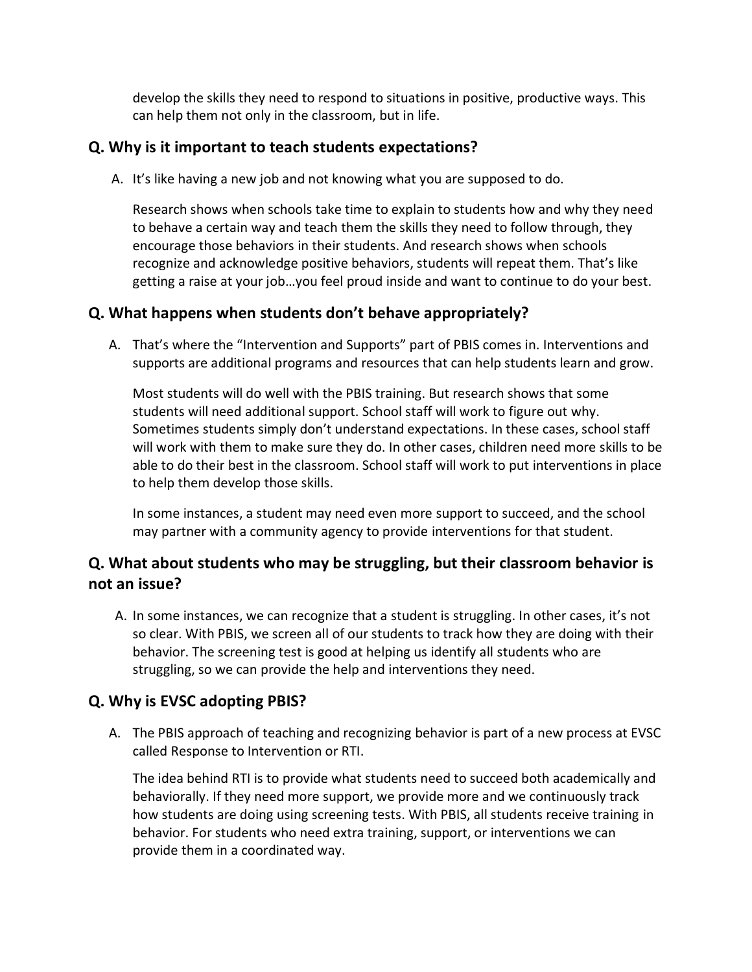develop the skills they need to respond to situations in positive, productive ways. This can help them not only in the classroom, but in life.

#### **Q. Why is it important to teach students expectations?**

A. It's like having a new job and not knowing what you are supposed to do.

Research shows when schools take time to explain to students how and why they need to behave a certain way and teach them the skills they need to follow through, they encourage those behaviors in their students. And research shows when schools recognize and acknowledge positive behaviors, students will repeat them. That's like getting a raise at your job…you feel proud inside and want to continue to do your best.

# **Q. What happens when students don't behave appropriately?**

A. That's where the "Intervention and Supports" part of PBIS comes in. Interventions and supports are additional programs and resources that can help students learn and grow.

Most students will do well with the PBIS training. But research shows that some students will need additional support. School staff will work to figure out why. Sometimes students simply don't understand expectations. In these cases, school staff will work with them to make sure they do. In other cases, children need more skills to be able to do their best in the classroom. School staff will work to put interventions in place to help them develop those skills.

In some instances, a student may need even more support to succeed, and the school may partner with a community agency to provide interventions for that student.

# **Q. What about students who may be struggling, but their classroom behavior is not an issue?**

A. In some instances, we can recognize that a student is struggling. In other cases, it's not so clear. With PBIS, we screen all of our students to track how they are doing with their behavior. The screening test is good at helping us identify all students who are struggling, so we can provide the help and interventions they need.

# **Q. Why is EVSC adopting PBIS?**

A. The PBIS approach of teaching and recognizing behavior is part of a new process at EVSC called Response to Intervention or RTI.

The idea behind RTI is to provide what students need to succeed both academically and behaviorally. If they need more support, we provide more and we continuously track how students are doing using screening tests. With PBIS, all students receive training in behavior. For students who need extra training, support, or interventions we can provide them in a coordinated way.